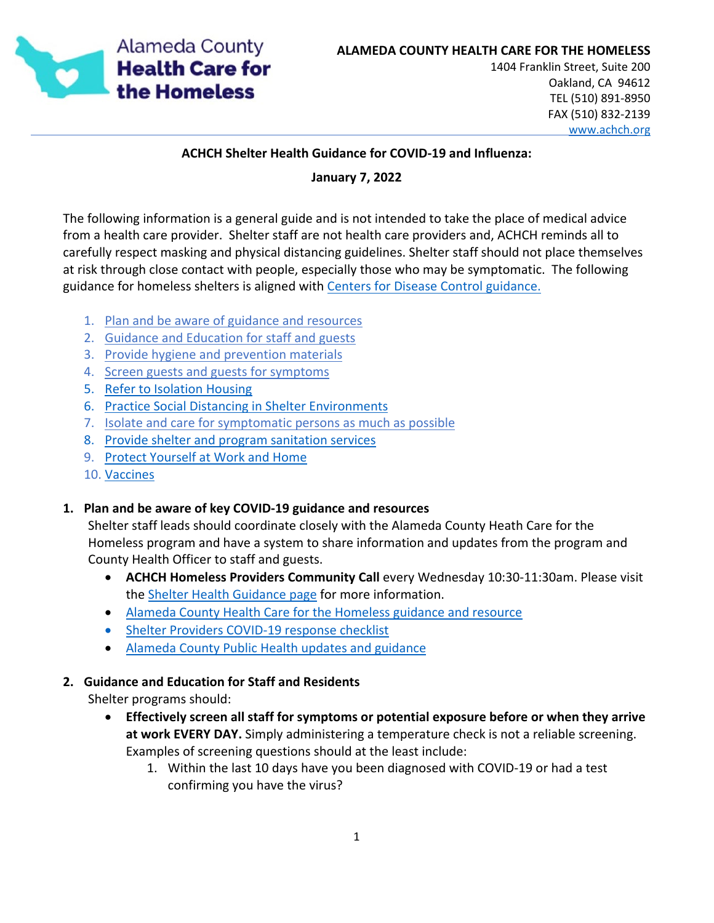

#### **ACHCH Shelter Health Guidance for COVID-19 and Influenza:**

#### **January 7, 2022**

The following information is a general guide and is not intended to take the place of medical advice from a health care provider. Shelter staff are not health care providers and, ACHCH reminds all to carefully respect masking and physical distancing guidelines. Shelter staff should not place themselves at risk through close contact with people, especially those who may be symptomatic. The following guidance for homeless shelters is aligned with [Centers for Disease Control guidance.](https://www.cdc.gov/coronavirus/2019-ncov/community/homeless-shelters/plan-prepare-respond.html) 

- 1. Plan and be aware of guidance and resources
- 2. [Guidance and Education](#page-0-0) for staff and guests
- 3. [Provide hygiene and prevention materials](#page-1-0)
- 4. [Screen guests and guests for symptoms](#page-2-0)
- 5. [Refer to Isolation Housing](#page-3-0)
- 6. [Practice Social Distancing in Shelter Environments](#page-3-1)
- 7. [Isolate and care for symptomatic persons as much as possible](#page-4-0)
- 8. [Provide shelter and program sanitation services](#page-4-1)
- 9. [Protect Yourself at Work and Home](#page-5-0)
- 10. Vaccines

## **1. Plan and be aware of key COVID-19 guidance and resources**

Shelter staff leads should coordinate closely with the Alameda County Heath Care for the Homeless program and have a system to share information and updates from the program and County Health Officer to staff and guests.

- **ACHCH Homeless Providers Community Call** every Wednesday 10:30-11:30am. Please visit the [Shelter Health Guidance page](https://www.achch.org/shelter-health-guidance.html) for more information.
- [Alameda County Health Care for the Homeless guidance and resource](https://www.achch.org/coronavirus)
- [Shelter Providers COVID-19 response checklist](https://www.achch.org/uploads/7/2/5/4/72547769/shelter_health_re-opening_checklist_07262021.pdf)
- [Alameda County Public Health updates and guidance](https://covid-19.acgov.org/index)

#### <span id="page-0-0"></span>**2. Guidance and Education for Staff and Residents**

Shelter programs should:

- **Effectively screen all staff for symptoms or potential exposure before or when they arrive at work EVERY DAY.** Simply administering a temperature check is not a reliable screening. Examples of screening questions should at the least include:
	- 1. Within the last 10 days have you been diagnosed with COVID-19 or had a test confirming you have the virus?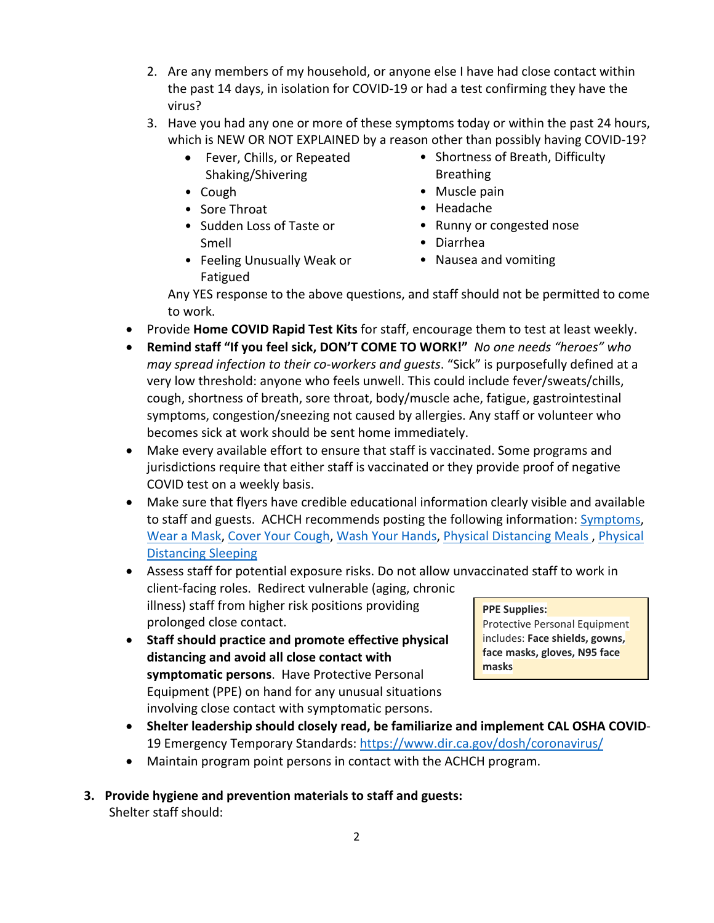- 2. Are any members of my household, or anyone else I have had close contact within the past 14 days, in isolation for COVID-19 or had a test confirming they have the virus?
- 3. Have you had any one or more of these symptoms today or within the past 24 hours, which is NEW OR NOT EXPLAINED by a reason other than possibly having COVID-19?
	- Fever, Chills, or Repeated Shaking/Shivering
	- Cough
	- Sore Throat
	- Sudden Loss of Taste or Smell
	- Feeling Unusually Weak or Fatigued
- Shortness of Breath, Difficulty **Breathing**
- Muscle pain
- Headache
- Runny or congested nose
- Diarrhea
- Nausea and vomiting

Any YES response to the above questions, and staff should not be permitted to come to work.

- Provide **Home COVID Rapid Test Kits** for staff, encourage them to test at least weekly.
- **Remind staff "If you feel sick, DON'T COME TO WORK!"** *No one needs "heroes" who may spread infection to their co-workers and guests*. "Sick" is purposefully defined at a very low threshold: anyone who feels unwell. This could include fever/sweats/chills, cough, shortness of breath, sore throat, body/muscle ache, fatigue, gastrointestinal symptoms, congestion/sneezing not caused by allergies. Any staff or volunteer who becomes sick at work should be sent home immediately.
- Make every available effort to ensure that staff is vaccinated. Some programs and jurisdictions require that either staff is vaccinated or they provide proof of negative COVID test on a weekly basis.
- Make sure that flyers have credible educational information clearly visible and available to staff and guests.ACHCH recommends posting the following information: [Symptoms,](https://www.cdc.gov/coronavirus/2019-ncov/images/print-materials/Symptoms-of-Coronavirus-Disease-2019-poster-english.jpg) [Wear a Mask,](https://www.cdc.gov/coronavirus/2019-ncov/images/print-materials/community/shelters-protect-common-areas.jpg) [Cover Your Cough,](https://www.cdc.gov/flu/pdf/protect/cdc_cough.pdf) [Wash Your Hands,](https://www.cdc.gov/coronavirus/2019-ncov/downloads/Handwashing-poster-adults.pdf) [Physical Distancing Meals ,](https://www.cdc.gov/coronavirus/2019-ncov/images/print-materials/community/shelters-protect-during-meals.jpg) [Physical](https://www.cdc.gov/coronavirus/2019-ncov/images/print-materials/community/shelters-protect-sleeping-areas.jpg)  [Distancing Sleeping](https://www.cdc.gov/coronavirus/2019-ncov/images/print-materials/community/shelters-protect-sleeping-areas.jpg)
- Assess staff for potential exposure risks. Do not allow unvaccinated staff to work in client-facing roles. Redirect vulnerable (aging, chronic illness) staff from higher risk positions providing prolonged close contact. **PPE Supplies:**
- **Staff should practice and promote effective physical distancing and avoid all close contact with symptomatic persons**. Have Protective Personal Equipment (PPE) on hand for any unusual situations involving close contact with symptomatic persons.

Protective Personal Equipment includes: **Face shields, gowns, face masks, gloves, N95 face masks**

- **Shelter leadership should closely read, be familiarize and implement CAL OSHA COVID**-19 Emergency Temporary Standards: https://www.dir.ca.gov/dosh/coronavirus/
- Maintain program point persons in contact with the ACHCH program.
- <span id="page-1-0"></span>**3. Provide hygiene and prevention materials to staff and guests:** Shelter staff should: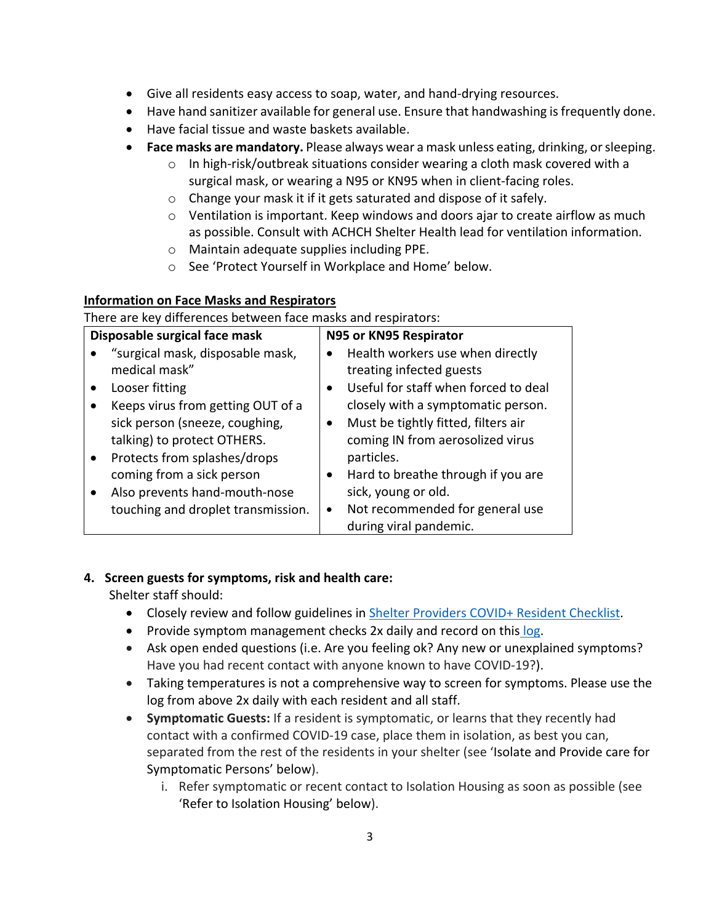- Give all residents easy access to soap, water, and hand-drying resources.
- Have hand sanitizer available for general use. Ensure that handwashing is frequently done.
- Have facial tissue and waste baskets available.
- **Face masks are mandatory.** Please always wear a mask unless eating, drinking, or sleeping.
	- $\circ$  In high-risk/outbreak situations consider wearing a cloth mask covered with a surgical mask, or wearing a N95 or KN95 when in client-facing roles.
	- o Change your mask it if it gets saturated and dispose of it safely.
	- $\circ$  Ventilation is important. Keep windows and doors ajar to create airflow as much as possible. Consult with ACHCH Shelter Health lead for ventilation information.
	- o Maintain adequate supplies including PPE.
	- o See 'Protect Yourself in Workplace and Home' below.

# **Information on Face Masks and Respirators**

There are key differences between face masks and respirators:

| Disposable surgical face mask |                                    | N95 or KN95 Respirator |                                      |
|-------------------------------|------------------------------------|------------------------|--------------------------------------|
|                               | "surgical mask, disposable mask,   | $\bullet$              | Health workers use when directly     |
|                               | medical mask"                      |                        | treating infected guests             |
|                               | Looser fitting                     | $\bullet$              | Useful for staff when forced to deal |
|                               | Keeps virus from getting OUT of a  |                        | closely with a symptomatic person.   |
|                               | sick person (sneeze, coughing,     | $\bullet$              | Must be tightly fitted, filters air  |
|                               | talking) to protect OTHERS.        |                        | coming IN from aerosolized virus     |
|                               | Protects from splashes/drops       |                        | particles.                           |
|                               | coming from a sick person          | $\bullet$              | Hard to breathe through if you are   |
|                               | Also prevents hand-mouth-nose      |                        | sick, young or old.                  |
|                               | touching and droplet transmission. | $\bullet$              | Not recommended for general use      |
|                               |                                    |                        | during viral pandemic.               |

## <span id="page-2-0"></span>**4. Screen guests for symptoms, risk and health care:**

Shelter staff should:

- Closely review and follow guidelines in [Shelter Providers COVID+ Resident Checklist.](https://www.achch.org/uploads/7/2/5/4/72547769/shelter_provider_checklist_for_covid_positive_residents_8-5-2020.pdf)
- Provide symptom management checks 2x daily and record on this [log.](https://www.achch.org/uploads/7/2/5/4/72547769/shelter_staff-residents_symptoms_screening_log_4-2020.pdf)
- Ask open ended questions (i.e. Are you feeling ok? Any new or unexplained symptoms? Have you had recent contact with anyone known to have COVID-19?).
- Taking temperatures is not a comprehensive way to screen for symptoms. Please use the log from above 2x daily with each resident and all staff.
- **Symptomatic Guests:** If a resident is symptomatic, or learns that they recently had contact with a confirmed COVID-19 case, place them in isolation, as best you can, separated from the rest of the residents in your shelter (see 'Isolate and Provide care for Symptomatic Persons' below).
	- i. Refer symptomatic or recent contact to Isolation Housing as soon as possible (see 'Refer to Isolation Housing' below).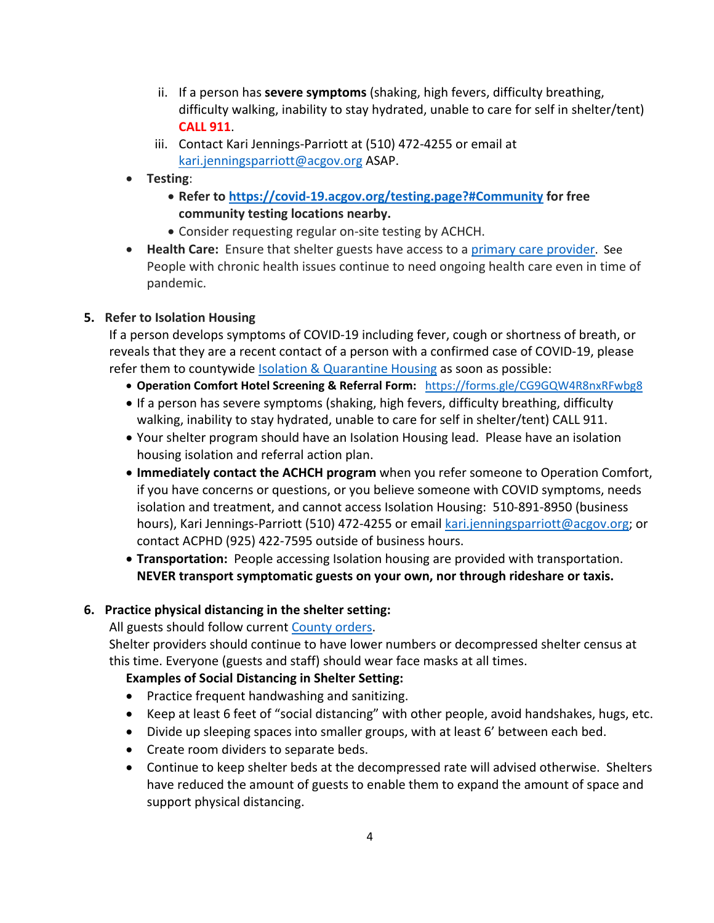- ii. If a person has **severe symptoms** (shaking, high fevers, difficulty breathing, difficulty walking, inability to stay hydrated, unable to care for self in shelter/tent) **CALL 911**.
- iii. Contact Kari Jennings-Parriott at (510) 472-4255 or email at [kari.jenningsparriott@acgov.org](mailto:kari.jenningsparriott@acgov.org) ASAP.
- **Testing**:
	- **Refer to<https://covid-19.acgov.org/testing.page?#Community> for free community testing locations nearby.**
	- Consider requesting regular on-site testing by ACHCH.
- **Health Care:** Ensure that shelter guests have access to a [primary care provider.](https://www.achch.org/get-help.html#primary) See People with chronic health issues continue to need ongoing health care even in time of pandemic.

## <span id="page-3-0"></span>**5. Refer to Isolation Housing**

If a person develops symptoms of COVID-19 including fever, cough or shortness of breath, or reveals that they are a recent contact of a person with a confirmed case of COVID-19, please refer them to countywide [Isolation & Quarantine Housing](https://www.achch.org/isolation-housing.html) as soon as possible:

- **Operation Comfort Hotel Screening & Referral Form:** [https://forms.gle/CG9GQW4R8nxRFwbg8](https://urldefense.proofpoint.com/v2/url?u=https-3A__forms.gle_CG9GQW4R8nxRFwbg8&d=DwMFaQ&c=6ZboKdJzR8nZOqwBjhPnCw&r=FcYi8q4yGJeLfoAw2HpGxci5RHvRw5EJmpZ_MhGrdJY&m=QVwFgzxGYLa_osBEWfHb_v_7Vm06C1EVZJR9sO8twEI&s=jSZoRqyJJDy32eUhGAijRTFx068LqmELyR1BdzXbyFc&e=)
- If a person has severe symptoms (shaking, high fevers, difficulty breathing, difficulty walking, inability to stay hydrated, unable to care for self in shelter/tent) CALL 911.
- Your shelter program should have an Isolation Housing lead. Please have an isolation housing isolation and referral action plan.
- **Immediately contact the ACHCH program** when you refer someone to Operation Comfort, if you have concerns or questions, or you believe someone with COVID symptoms, needs isolation and treatment, and cannot access Isolation Housing: 510-891-8950 (business hours), Kari Jennings-Parriott (510) 472-4255 or emai[l kari.jenningsparriott@acgov.org;](mailto:kari.jenningsparriott@acgov.org) or contact ACPHD (925) 422-7595 outside of business hours.
- **Transportation:** People accessing Isolation housing are provided with transportation. **NEVER transport symptomatic guests on your own, nor through rideshare or taxis.**

## <span id="page-3-1"></span>**6. Practice physical distancing in the shelter setting:**

All guests should follow current [County orders.](https://covid-19.acgov.org/face-masks)

Shelter providers should continue to have lower numbers or decompressed shelter census at this time. Everyone (guests and staff) should wear face masks at all times.

# **Examples of Social Distancing in Shelter Setting:**

- Practice frequent handwashing and sanitizing.
- Keep at least 6 feet of "social distancing" with other people, avoid handshakes, hugs, etc.
- Divide up sleeping spaces into smaller groups, with at least 6' between each bed.
- Create room dividers to separate beds.
- Continue to keep shelter beds at the decompressed rate will advised otherwise. Shelters have reduced the amount of guests to enable them to expand the amount of space and support physical distancing.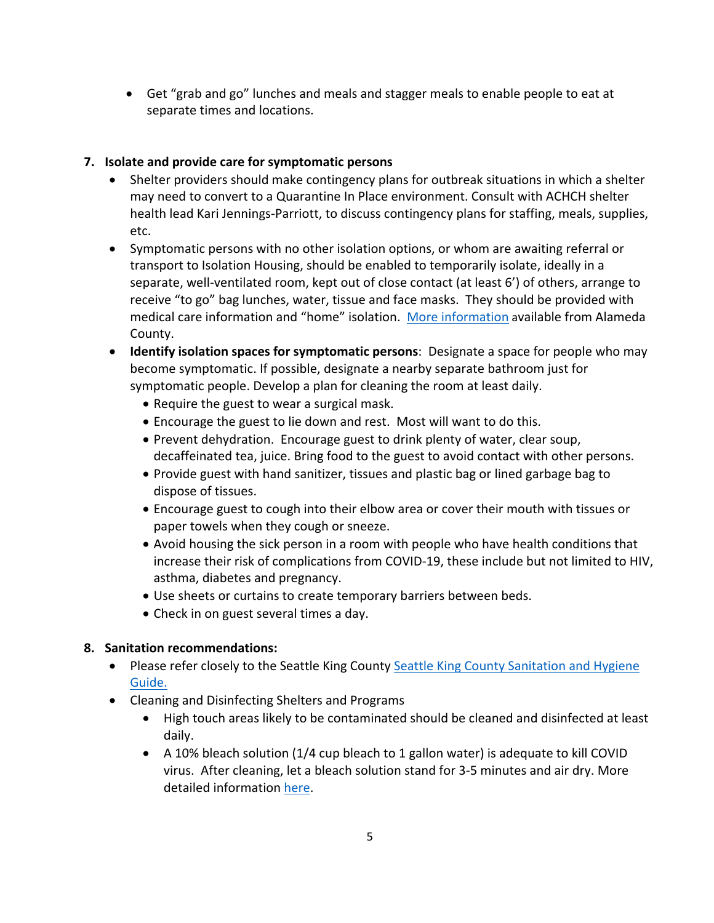• Get "grab and go" lunches and meals and stagger meals to enable people to eat at separate times and locations.

## <span id="page-4-0"></span>**7. Isolate and provide care for symptomatic persons**

- Shelter providers should make contingency plans for outbreak situations in which a shelter may need to convert to a Quarantine In Place environment. Consult with ACHCH shelter health lead Kari Jennings-Parriott, to discuss contingency plans for staffing, meals, supplies, etc.
- Symptomatic persons with no other isolation options, or whom are awaiting referral or transport to Isolation Housing, should be enabled to temporarily isolate, ideally in a separate, well-ventilated room, kept out of close contact (at least 6') of others, arrange to receive "to go" bag lunches, water, tissue and face masks. They should be provided with medical care information and "home" isolation. [More information](https://covid-19.acgov.org/isolation-quarantine#1595784429592-title3) available from Alameda County.
- **Identify isolation spaces for symptomatic persons**: Designate a space for people who may become symptomatic. If possible, designate a nearby separate bathroom just for symptomatic people. Develop a plan for cleaning the room at least daily.
	- Require the guest to wear a surgical mask.
	- Encourage the guest to lie down and rest. Most will want to do this.
	- Prevent dehydration. Encourage guest to drink plenty of water, clear soup, decaffeinated tea, juice. Bring food to the guest to avoid contact with other persons.
	- Provide guest with hand sanitizer, tissues and plastic bag or lined garbage bag to dispose of tissues.
	- Encourage guest to cough into their elbow area or cover their mouth with tissues or paper towels when they cough or sneeze.
	- Avoid housing the sick person in a room with people who have health conditions that increase their risk of complications from COVID-19, these include but not limited to HIV, asthma, diabetes and pregnancy.
	- Use sheets or curtains to create temporary barriers between beds.
	- Check in on guest several times a day.

#### <span id="page-4-1"></span>**8. Sanitation recommendations:**

- Please refer closely to the Seattle King County Seattle King County Sanitation and Hygiene [Guide.](http://blog.homelessinfo.org/wp-content/uploads/Sanitation-Hygiene-Guide-final-edited.pdf)
- Cleaning and Disinfecting Shelters and Programs
	- High touch areas likely to be contaminated should be cleaned and disinfected at least daily.
	- A 10% bleach solution (1/4 cup bleach to 1 gallon water) is adequate to kill COVID virus. After cleaning, let a bleach solution stand for 3-5 minutes and air dry. More detailed information [here.](https://content.govdelivery.com/attachments/WAKING/2020/03/13/file_attachments/1399868/COVID-19%20Disinfection%20Instructions%203.12.2020.pdf)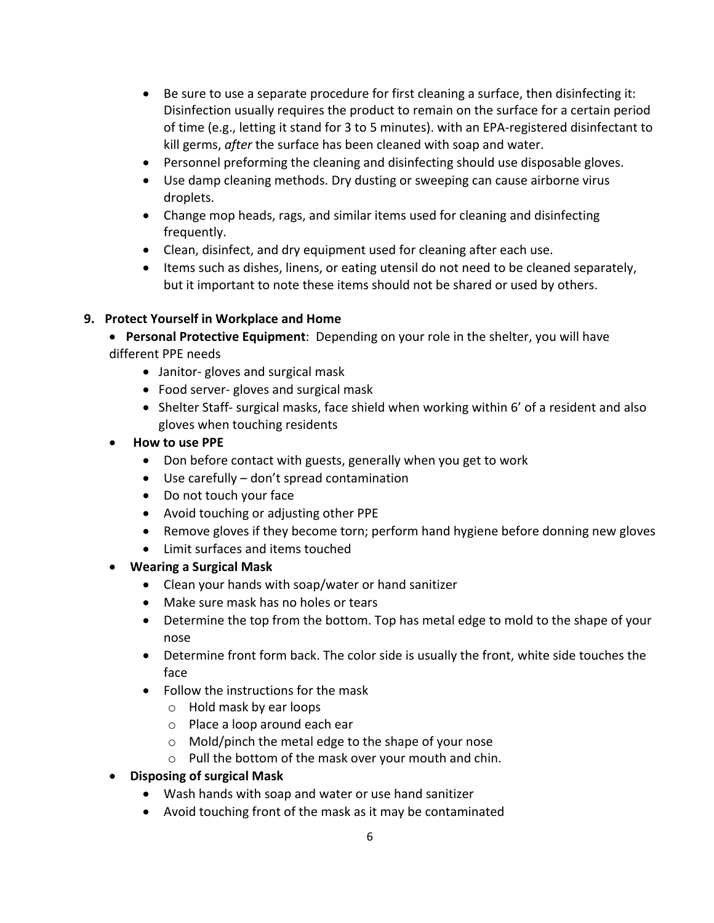- Be sure to use a separate procedure for first cleaning a surface, then disinfecting it: Disinfection usually requires the product to remain on the surface for a certain period of time (e.g., letting it stand for 3 to 5 minutes). with an EPA-registered disinfectant to kill germs, *after* the surface has been cleaned with soap and water.
- Personnel preforming the cleaning and disinfecting should use disposable gloves.
- Use damp cleaning methods. Dry dusting or sweeping can cause airborne virus droplets.
- Change mop heads, rags, and similar items used for cleaning and disinfecting frequently.
- Clean, disinfect, and dry equipment used for cleaning after each use.
- Items such as dishes, linens, or eating utensil do not need to be cleaned separately, but it important to note these items should not be shared or used by others.

## <span id="page-5-0"></span>**9. Protect Yourself in Workplace and Home**

- **Personal Protective Equipment**: Depending on your role in the shelter, you will have different PPE needs
	- Janitor- gloves and surgical mask
	- Food server- gloves and surgical mask
	- Shelter Staff- surgical masks, face shield when working within 6' of a resident and also gloves when touching residents
- **How to use PPE**
	- Don before contact with guests, generally when you get to work
	- Use carefully don't spread contamination
	- Do not touch your face
	- Avoid touching or adjusting other PPE
	- Remove gloves if they become torn; perform hand hygiene before donning new gloves
	- Limit surfaces and items touched
- **Wearing a Surgical Mask**
	- Clean your hands with soap/water or hand sanitizer
	- Make sure mask has no holes or tears
	- Determine the top from the bottom. Top has metal edge to mold to the shape of your nose
	- Determine front form back. The color side is usually the front, white side touches the face
	- Follow the instructions for the mask
		- o Hold mask by ear loops
		- o Place a loop around each ear
		- o Mold/pinch the metal edge to the shape of your nose
		- o Pull the bottom of the mask over your mouth and chin.
- **Disposing of surgical Mask**
	- Wash hands with soap and water or use hand sanitizer
	- Avoid touching front of the mask as it may be contaminated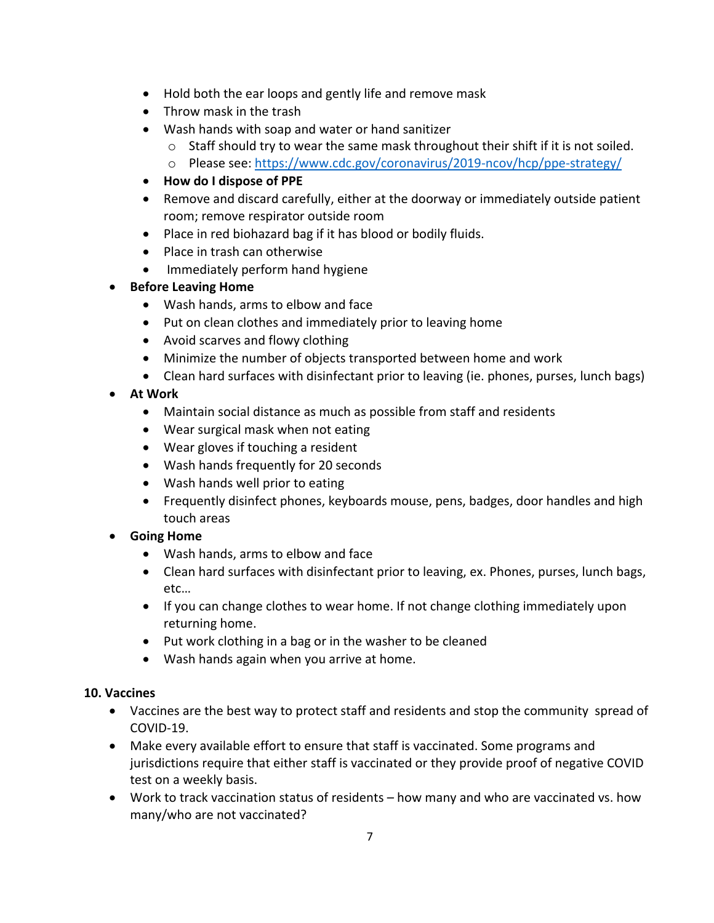- Hold both the ear loops and gently life and remove mask
- Throw mask in the trash
- Wash hands with soap and water or hand sanitizer
	- $\circ$  Staff should try to wear the same mask throughout their shift if it is not soiled.
	- o Please see:<https://www.cdc.gov/coronavirus/2019-ncov/hcp/ppe-strategy/>
- **How do I dispose of PPE**
- Remove and discard carefully, either at the doorway or immediately outside patient room; remove respirator outside room
- Place in red biohazard bag if it has blood or bodily fluids.
- Place in trash can otherwise
- Immediately perform hand hygiene
- **Before Leaving Home**
	- Wash hands, arms to elbow and face
	- Put on clean clothes and immediately prior to leaving home
	- Avoid scarves and flowy clothing
	- Minimize the number of objects transported between home and work
	- Clean hard surfaces with disinfectant prior to leaving (ie. phones, purses, lunch bags)
- **At Work**
	- Maintain social distance as much as possible from staff and residents
	- Wear surgical mask when not eating
	- Wear gloves if touching a resident
	- Wash hands frequently for 20 seconds
	- Wash hands well prior to eating
	- Frequently disinfect phones, keyboards mouse, pens, badges, door handles and high touch areas
- **Going Home**
	- Wash hands, arms to elbow and face
	- Clean hard surfaces with disinfectant prior to leaving, ex. Phones, purses, lunch bags, etc…
	- If you can change clothes to wear home. If not change clothing immediately upon returning home.
	- Put work clothing in a bag or in the washer to be cleaned
	- Wash hands again when you arrive at home.

## **10. Vaccines**

- Vaccines are the best way to protect staff and residents and stop the community spread of COVID-19.
- Make every available effort to ensure that staff is vaccinated. Some programs and jurisdictions require that either staff is vaccinated or they provide proof of negative COVID test on a weekly basis.
- Work to track vaccination status of residents how many and who are vaccinated vs. how many/who are not vaccinated?